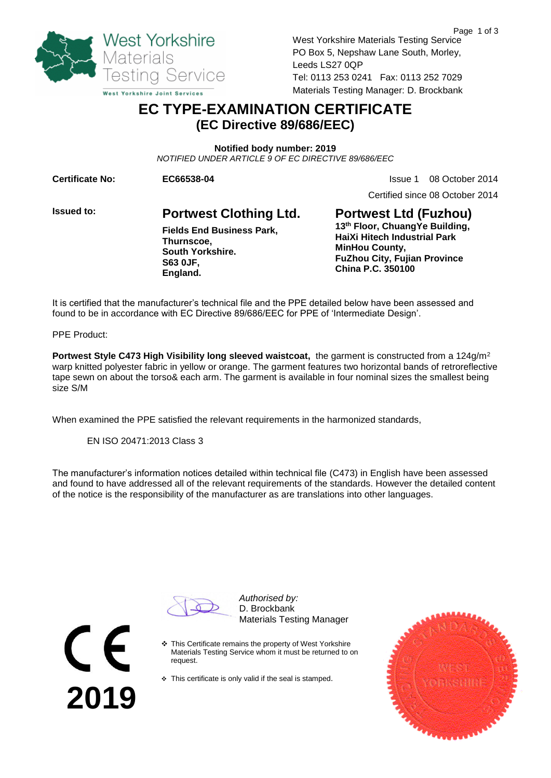

West Yorkshire Materials Testing Service PO Box 5, Nepshaw Lane South, Morley, Leeds LS27 0QP Tel: 0113 253 0241 Fax: 0113 252 7029 Materials Testing Manager: D. Brockbank

### **EC TYPE-EXAMINATION CERTIFICATE (EC Directive 89/686/EEC)**

**Notified body number: 2019** *NOTIFIED UNDER ARTICLE 9 OF EC DIRECTIVE 89/686/EEC*

**Certificate No: 6 CC66538-04 EC66538-04 ISSUE 1** 08 October 2014

Certified since 08 October 2014

**Issued to: Portwest Clothing Ltd. Fields End Business Park, Thurnscoe, South Yorkshire. S63 0JF, England.** 

**Portwest Ltd (Fuzhou) 13th Floor, ChuangYe Building, HaiXi Hitech Industrial Park MinHou County,**

**FuZhou City, Fujian Province China P.C. 350100**

It is certified that the manufacturer's technical file and the PPE detailed below have been assessed and found to be in accordance with EC Directive 89/686/EEC for PPE of 'Intermediate Design'.

PPE Product:

**2019**

**Portwest Style C473 High Visibility long sleeved waistcoat,** the garment is constructed from a 124g/m<sup>2</sup> warp knitted polyester fabric in yellow or orange. The garment features two horizontal bands of retroreflective tape sewn on about the torso& each arm. The garment is available in four nominal sizes the smallest being size S/M

When examined the PPE satisfied the relevant requirements in the harmonized standards,

EN ISO 20471:2013 Class 3

The manufacturer's information notices detailed within technical file (C473) in English have been assessed and found to have addressed all of the relevant requirements of the standards. However the detailed content of the notice is the responsibility of the manufacturer as are translations into other languages.

*Authorised by:* D. Brockbank Materials Testing Manager

- This Certificate remains the property of West Yorkshire Materials Testing Service whom it must be returned to on request.
- $\div$  This certificate is only valid if the seal is stamped.

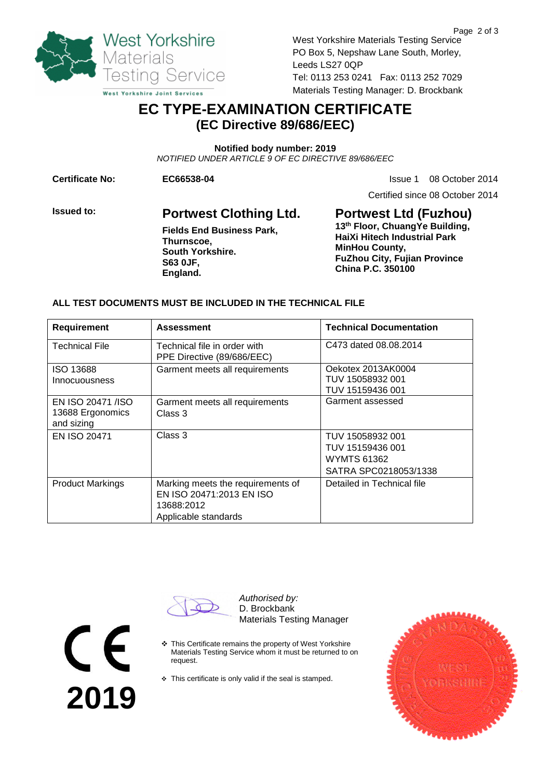

West Yorkshire Materials Testing Service PO Box 5, Nepshaw Lane South, Morley, Leeds LS27 0QP Tel: 0113 253 0241 Fax: 0113 252 7029 Materials Testing Manager: D. Brockbank

## **EC TYPE-EXAMINATION CERTIFICATE (EC Directive 89/686/EEC)**

**Notified body number: 2019** *NOTIFIED UNDER ARTICLE 9 OF EC DIRECTIVE 89/686/EEC*

**Certificate No: 6 CC66538-04 EC66538-04 ISSUE 1** 08 October 2014

Certified since 08 October 2014

### **Issued to: Portwest Clothing Ltd. Fields End Business Park, Thurnscoe, South Yorkshire. S63 0JF, England.**

**Portwest Ltd (Fuzhou) 13th Floor, ChuangYe Building, HaiXi Hitech Industrial Park MinHou County, FuZhou City, Fujian Province China P.C. 350100**

#### **ALL TEST DOCUMENTS MUST BE INCLUDED IN THE TECHNICAL FILE**

| Requirement                                         | <b>Assessment</b>                                                                                   | <b>Technical Documentation</b>                                               |
|-----------------------------------------------------|-----------------------------------------------------------------------------------------------------|------------------------------------------------------------------------------|
| <b>Technical File</b>                               | Technical file in order with<br>PPE Directive (89/686/EEC)                                          | C473 dated 08.08.2014                                                        |
| <b>ISO 13688</b><br>Innocuousness                   | Garment meets all requirements                                                                      | Oekotex 2013AK0004<br>TUV 15058932 001<br>TUV 15159436 001                   |
| EN ISO 20471 /ISO<br>13688 Ergonomics<br>and sizing | Garment meets all requirements<br>Class 3                                                           | Garment assessed                                                             |
| EN ISO 20471                                        | Class 3                                                                                             | TUV 15058932 001<br>TUV 15159436 001<br>WYMTS 61362<br>SATRA SPC0218053/1338 |
| <b>Product Markings</b>                             | Marking meets the requirements of<br>EN ISO 20471:2013 EN ISO<br>13688:2012<br>Applicable standards | Detailed in Technical file                                                   |



**2019**

*Authorised by:* D. Brockbank Materials Testing Manager

- \* This Certificate remains the property of West Yorkshire Materials Testing Service whom it must be returned to on request.
- $\div$  This certificate is only valid if the seal is stamped.